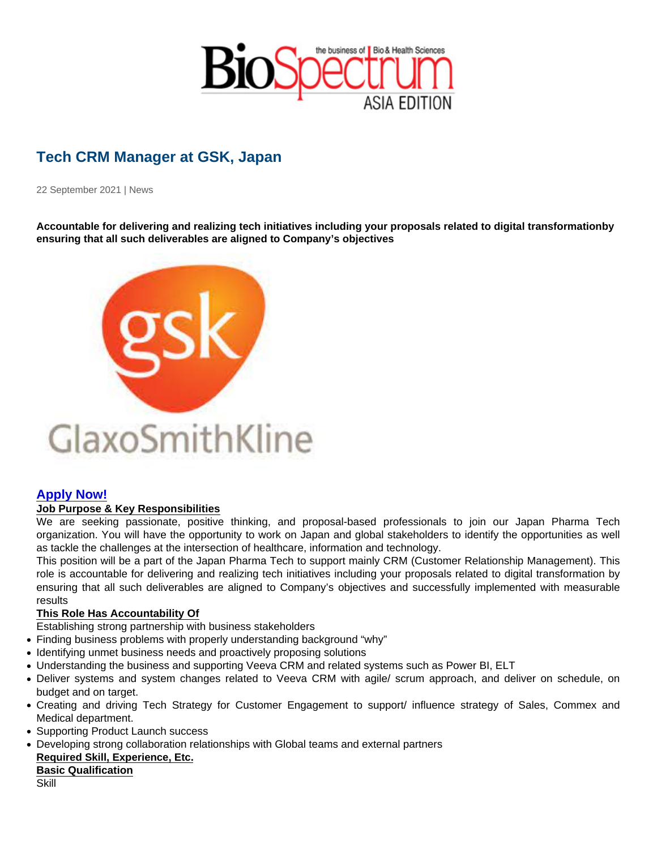# Tech CRM Manager at GSK, Japan

22 September 2021 | News

Accountable for delivering and realizing tech initiatives including your proposals related to digital transformation by ensuring that all such deliverables are aligned to Company's objectives

[Apply Now!](https://jobs.gsk.com/en-gb/jobs/295138?lang=en-us&source=LinkedIn)

## Job Purpose & Key Responsibilities

We are seeking passionate, positive thinking, and proposal-based professionals to join our Japan Pharma Tech organization. You will have the opportunity to work on Japan and global stakeholders to identify the opportunities as well as tackle the challenges at the intersection of healthcare, information and technology.

This position will be a part of the Japan Pharma Tech to support mainly CRM (Customer Relationship Management). This role is accountable for delivering and realizing tech initiatives including your proposals related to digital transformation by ensuring that all such deliverables are aligned to Company's objectives and successfully implemented with measurable results

#### This Role Has Accountability Of

Establishing strong partnership with business stakeholders

- Finding business problems with properly understanding background "why"
- Identifying unmet business needs and proactively proposing solutions
- Understanding the business and supporting Veeva CRM and related systems such as Power BI, ELT
- Deliver systems and system changes related to Veeva CRM with agile/ scrum approach, and deliver on schedule, on budget and on target.
- Creating and driving Tech Strategy for Customer Engagement to support/ influence strategy of Sales, Commex and Medical department.
- Supporting Product Launch success
- Developing strong collaboration relationships with Global teams and external partners
- Required Skill, Experience, Etc.

Basic Qualification

**Skill**